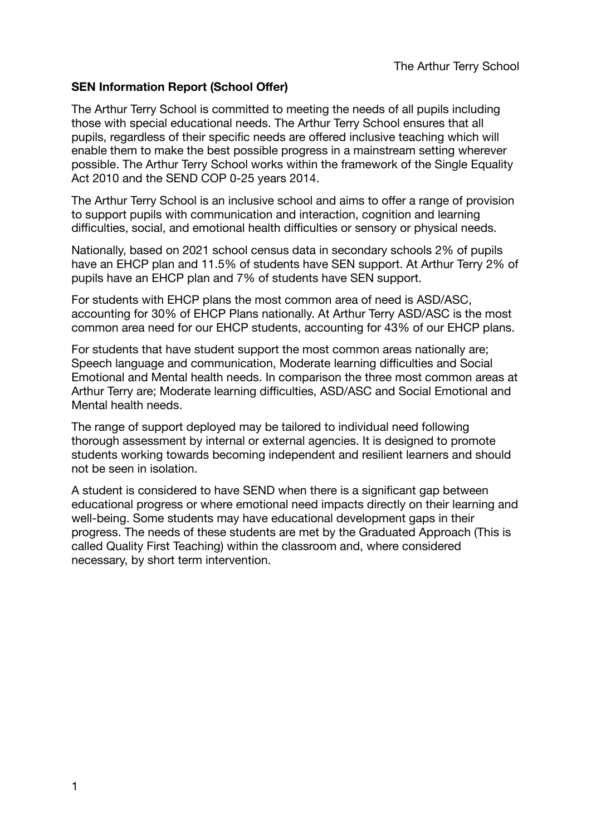# **SEN Information Report (School Offer)**

The Arthur Terry School is committed to meeting the needs of all pupils including those with special educational needs. The Arthur Terry School ensures that all pupils, regardless of their specific needs are offered inclusive teaching which will enable them to make the best possible progress in a mainstream setting wherever possible. The Arthur Terry School works within the framework of the Single Equality Act 2010 and the SEND COP 0-25 years 2014.

The Arthur Terry School is an inclusive school and aims to offer a range of provision to support pupils with communication and interaction, cognition and learning difficulties, social, and emotional health difficulties or sensory or physical needs.

Nationally, based on 2021 school census data in secondary schools 2% of pupils have an EHCP plan and 11.5% of students have SEN support. At Arthur Terry 2% of pupils have an EHCP plan and 7% of students have SEN support.

For students with EHCP plans the most common area of need is ASD/ASC, accounting for 30% of EHCP Plans nationally. At Arthur Terry ASD/ASC is the most common area need for our EHCP students, accounting for 43% of our EHCP plans.

For students that have student support the most common areas nationally are; Speech language and communication, Moderate learning difficulties and Social Emotional and Mental health needs. In comparison the three most common areas at Arthur Terry are; Moderate learning difficulties, ASD/ASC and Social Emotional and Mental health needs.

The range of support deployed may be tailored to individual need following thorough assessment by internal or external agencies. It is designed to promote students working towards becoming independent and resilient learners and should not be seen in isolation.

A student is considered to have SEND when there is a significant gap between educational progress or where emotional need impacts directly on their learning and well-being. Some students may have educational development gaps in their progress. The needs of these students are met by the Graduated Approach (This is called Quality First Teaching) within the classroom and, where considered necessary, by short term intervention.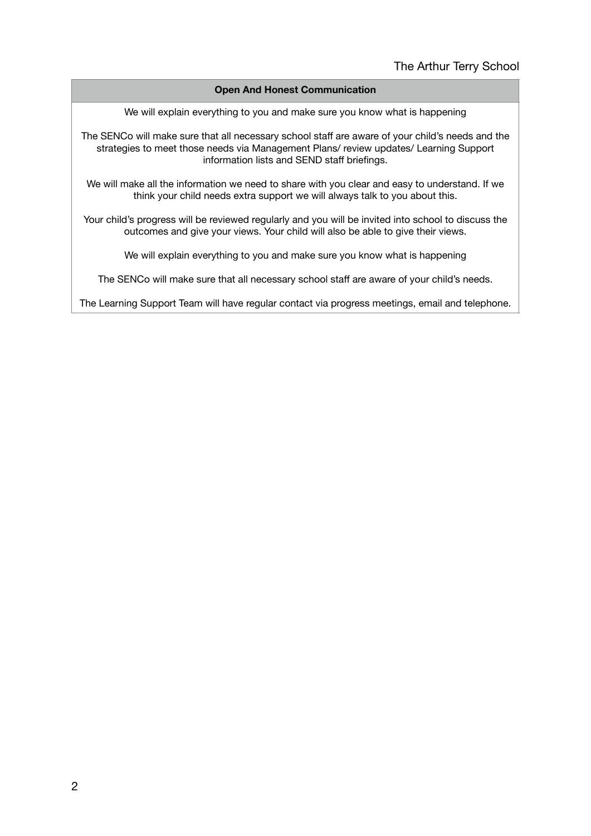### **Open And Honest Communication**

We will explain everything to you and make sure you know what is happening

The SENCo will make sure that all necessary school staff are aware of your child's needs and the strategies to meet those needs via Management Plans/ review updates/ Learning Support information lists and SEND staff briefings.

We will make all the information we need to share with you clear and easy to understand. If we think your child needs extra support we will always talk to you about this.

Your child's progress will be reviewed regularly and you will be invited into school to discuss the outcomes and give your views. Your child will also be able to give their views.

We will explain everything to you and make sure you know what is happening

The SENCo will make sure that all necessary school staff are aware of your child's needs.

The Learning Support Team will have regular contact via progress meetings, email and telephone.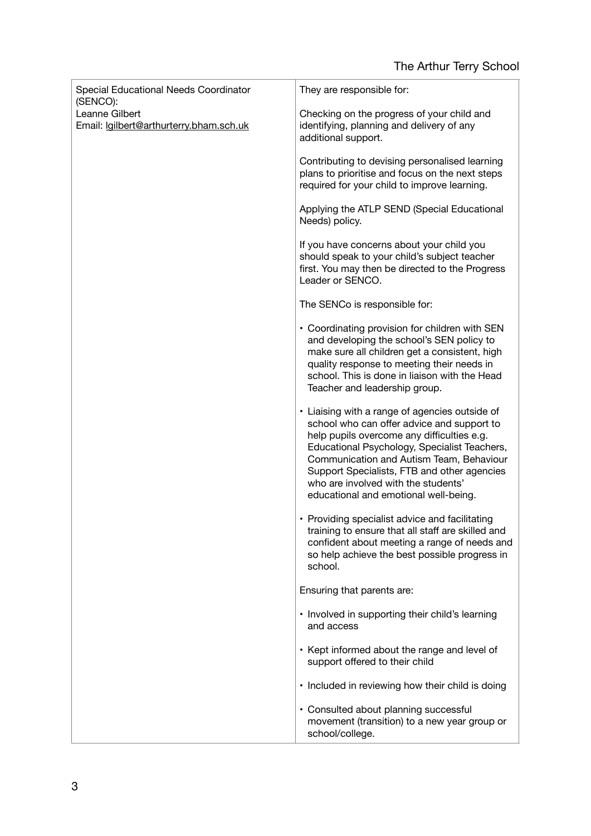| Special Educational Needs Coordinator<br>(SENCO):         | They are responsible for:                                                                                                                                                                                                                                                                                                                                             |
|-----------------------------------------------------------|-----------------------------------------------------------------------------------------------------------------------------------------------------------------------------------------------------------------------------------------------------------------------------------------------------------------------------------------------------------------------|
| Leanne Gilbert<br>Email: lgilbert@arthurterry.bham.sch.uk | Checking on the progress of your child and<br>identifying, planning and delivery of any<br>additional support.                                                                                                                                                                                                                                                        |
|                                                           | Contributing to devising personalised learning<br>plans to prioritise and focus on the next steps<br>required for your child to improve learning.                                                                                                                                                                                                                     |
|                                                           | Applying the ATLP SEND (Special Educational<br>Needs) policy.                                                                                                                                                                                                                                                                                                         |
|                                                           | If you have concerns about your child you<br>should speak to your child's subject teacher<br>first. You may then be directed to the Progress<br>Leader or SENCO.                                                                                                                                                                                                      |
|                                                           | The SENCo is responsible for:                                                                                                                                                                                                                                                                                                                                         |
|                                                           | • Coordinating provision for children with SEN<br>and developing the school's SEN policy to<br>make sure all children get a consistent, high<br>quality response to meeting their needs in<br>school. This is done in liaison with the Head<br>Teacher and leadership group.                                                                                          |
|                                                           | • Liaising with a range of agencies outside of<br>school who can offer advice and support to<br>help pupils overcome any difficulties e.g.<br>Educational Psychology, Specialist Teachers,<br>Communication and Autism Team, Behaviour<br>Support Specialists, FTB and other agencies<br>who are involved with the students'<br>educational and emotional well-being. |
|                                                           | • Providing specialist advice and facilitating<br>training to ensure that all staff are skilled and<br>confident about meeting a range of needs and<br>so help achieve the best possible progress in<br>school.                                                                                                                                                       |
|                                                           | Ensuring that parents are:                                                                                                                                                                                                                                                                                                                                            |
|                                                           | • Involved in supporting their child's learning<br>and access                                                                                                                                                                                                                                                                                                         |
|                                                           | • Kept informed about the range and level of<br>support offered to their child                                                                                                                                                                                                                                                                                        |
|                                                           | • Included in reviewing how their child is doing                                                                                                                                                                                                                                                                                                                      |
|                                                           | • Consulted about planning successful<br>movement (transition) to a new year group or<br>school/college.                                                                                                                                                                                                                                                              |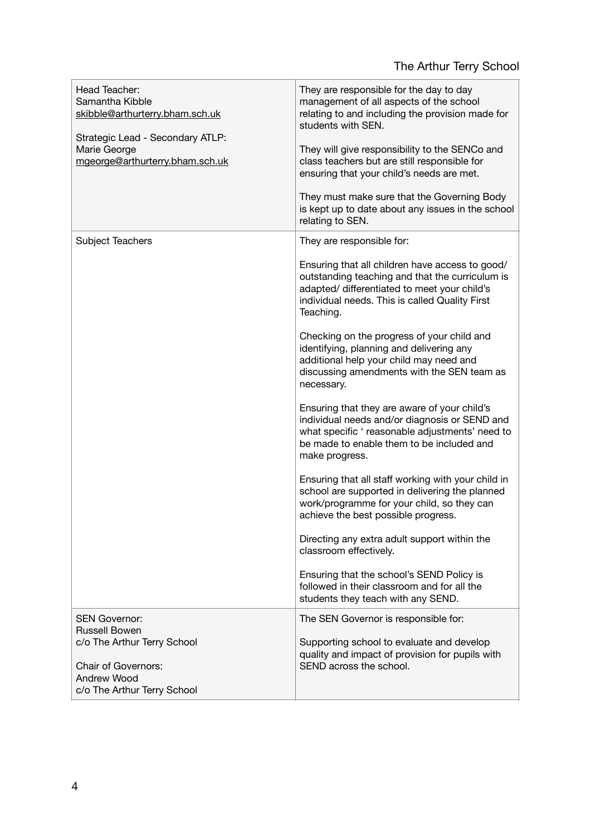# The Arthur Terry School

| Head Teacher:<br>Samantha Kibble<br>skibble@arthurterry.bham.sch.uk<br>Strategic Lead - Secondary ATLP:<br>Marie George<br>mgeorge@arthurterry.bham.sch.uk | They are responsible for the day to day<br>management of all aspects of the school<br>relating to and including the provision made for<br>students with SEN.<br>They will give responsibility to the SENCo and<br>class teachers but are still responsible for<br>ensuring that your child's needs are met.<br>They must make sure that the Governing Body<br>is kept up to date about any issues in the school<br>relating to SEN.                                                                                                                                                                                                                                                                                                                                                                                                                                                                                                                                                                                                                                         |
|------------------------------------------------------------------------------------------------------------------------------------------------------------|-----------------------------------------------------------------------------------------------------------------------------------------------------------------------------------------------------------------------------------------------------------------------------------------------------------------------------------------------------------------------------------------------------------------------------------------------------------------------------------------------------------------------------------------------------------------------------------------------------------------------------------------------------------------------------------------------------------------------------------------------------------------------------------------------------------------------------------------------------------------------------------------------------------------------------------------------------------------------------------------------------------------------------------------------------------------------------|
| Subject Teachers                                                                                                                                           | They are responsible for:<br>Ensuring that all children have access to good/<br>outstanding teaching and that the curriculum is<br>adapted/ differentiated to meet your child's<br>individual needs. This is called Quality First<br>Teaching.<br>Checking on the progress of your child and<br>identifying, planning and delivering any<br>additional help your child may need and<br>discussing amendments with the SEN team as<br>necessary.<br>Ensuring that they are aware of your child's<br>individual needs and/or diagnosis or SEND and<br>what specific ' reasonable adjustments' need to<br>be made to enable them to be included and<br>make progress.<br>Ensuring that all staff working with your child in<br>school are supported in delivering the planned<br>work/programme for your child, so they can<br>achieve the best possible progress.<br>Directing any extra adult support within the<br>classroom effectively.<br>Ensuring that the school's SEND Policy is<br>followed in their classroom and for all the<br>students they teach with any SEND. |
| <b>SEN Governor:</b><br><b>Russell Bowen</b><br>c/o The Arthur Terry School<br><b>Chair of Governors:</b><br>Andrew Wood<br>c/o The Arthur Terry School    | The SEN Governor is responsible for:<br>Supporting school to evaluate and develop<br>quality and impact of provision for pupils with<br>SEND across the school.                                                                                                                                                                                                                                                                                                                                                                                                                                                                                                                                                                                                                                                                                                                                                                                                                                                                                                             |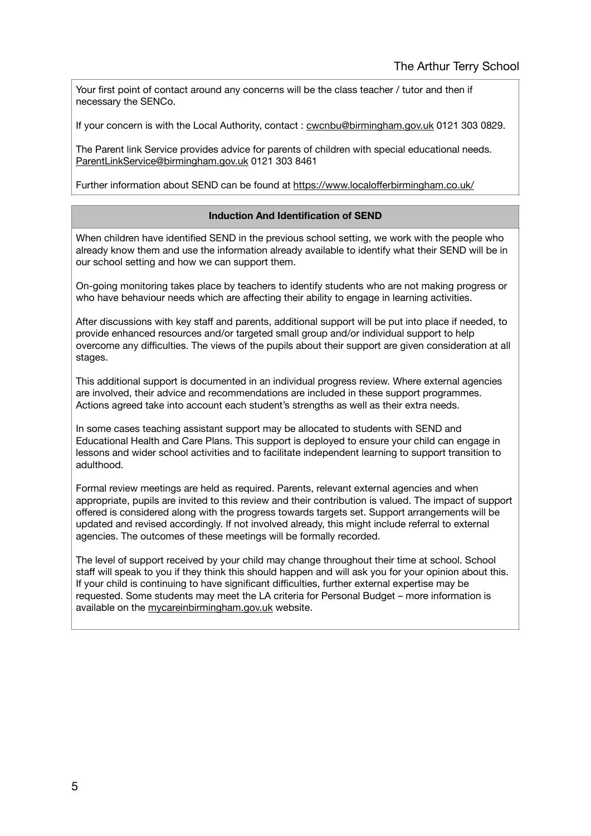Your first point of contact around any concerns will be the class teacher / tutor and then if necessary the SENCo.

If your concern is with the Local Authority, contact : [cwcnbu@birmingham.gov.uk](mailto:cwcnbu@birmingham.gov.uk) 0121 303 0829.

The Parent link Service provides advice for parents of children with special educational needs. [ParentLinkService@birmingham.gov.uk](mailto:ParentLinkService@birmingham.gov.uk) 0121 303 8461

Further information about SEND can be found at https://www.localoff[erbirmingham.co.uk/](https://www.localofferbirmingham.co.uk/)

#### **Induction And Identification of SEND**

When children have identified SEND in the previous school setting, we work with the people who already know them and use the information already available to identify what their SEND will be in our school setting and how we can support them.

On-going monitoring takes place by teachers to identify students who are not making progress or who have behaviour needs which are affecting their ability to engage in learning activities.

After discussions with key staff and parents, additional support will be put into place if needed, to provide enhanced resources and/or targeted small group and/or individual support to help overcome any difficulties. The views of the pupils about their support are given consideration at all stages.

This additional support is documented in an individual progress review. Where external agencies are involved, their advice and recommendations are included in these support programmes. Actions agreed take into account each student's strengths as well as their extra needs.

In some cases teaching assistant support may be allocated to students with SEND and Educational Health and Care Plans. This support is deployed to ensure your child can engage in lessons and wider school activities and to facilitate independent learning to support transition to adulthood.

Formal review meetings are held as required. Parents, relevant external agencies and when appropriate, pupils are invited to this review and their contribution is valued. The impact of support offered is considered along with the progress towards targets set. Support arrangements will be updated and revised accordingly. If not involved already, this might include referral to external agencies. The outcomes of these meetings will be formally recorded.

The level of support received by your child may change throughout their time at school. School staff will speak to you if they think this should happen and will ask you for your opinion about this. If your child is continuing to have significant difficulties, further external expertise may be requested. Some students may meet the LA criteria for Personal Budget – more information is available on the [mycareinbirmingham.gov.uk](http://mycareinbirmingham.gov.uk) website.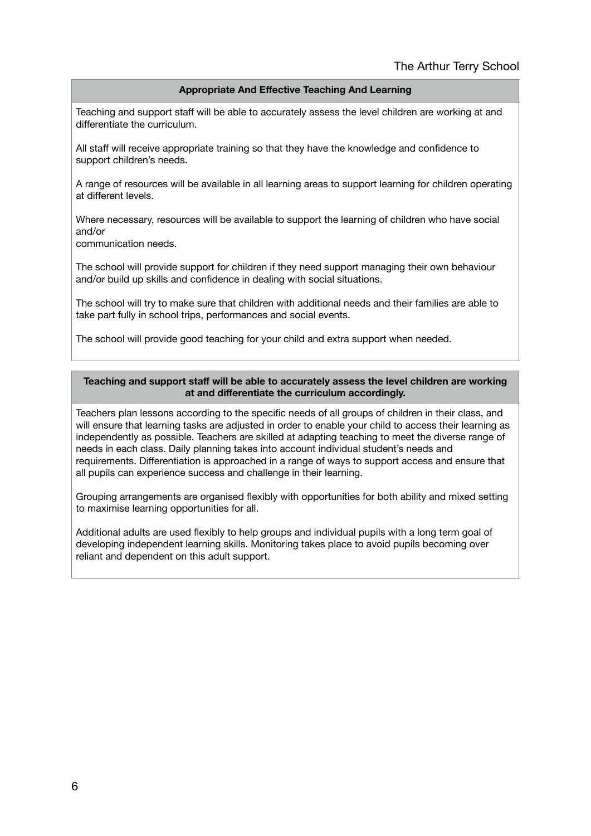#### **Appropriate And Effective Teaching And Learning**

Teaching and support staff will be able to accurately assess the level children are working at and differentiate the curriculum.

All staff will receive appropriate training so that they have the knowledge and confidence to support children's needs.

A range of resources will be available in all learning areas to support learning for children operating at different levels.

Where necessary, resources will be available to support the learning of children who have social and/or

communication needs.

The school will provide support for children if they need support managing their own behaviour and/or build up skills and confidence in dealing with social situations.

The school will try to make sure that children with additional needs and their families are able to take part fully in school trips, performances and social events.

The school will provide good teaching for your child and extra support when needed.

#### **Teaching and support staff will be able to accurately assess the level children are working at and differentiate the curriculum accordingly.**

Teachers plan lessons according to the specific needs of all groups of children in their class, and will ensure that learning tasks are adjusted in order to enable your child to access their learning as independently as possible. Teachers are skilled at adapting teaching to meet the diverse range of needs in each class. Daily planning takes into account individual student's needs and requirements. Differentiation is approached in a range of ways to support access and ensure that all pupils can experience success and challenge in their learning.

Grouping arrangements are organised flexibly with opportunities for both ability and mixed setting to maximise learning opportunities for all.

Additional adults are used flexibly to help groups and individual pupils with a long term goal of developing independent learning skills. Monitoring takes place to avoid pupils becoming over reliant and dependent on this adult support.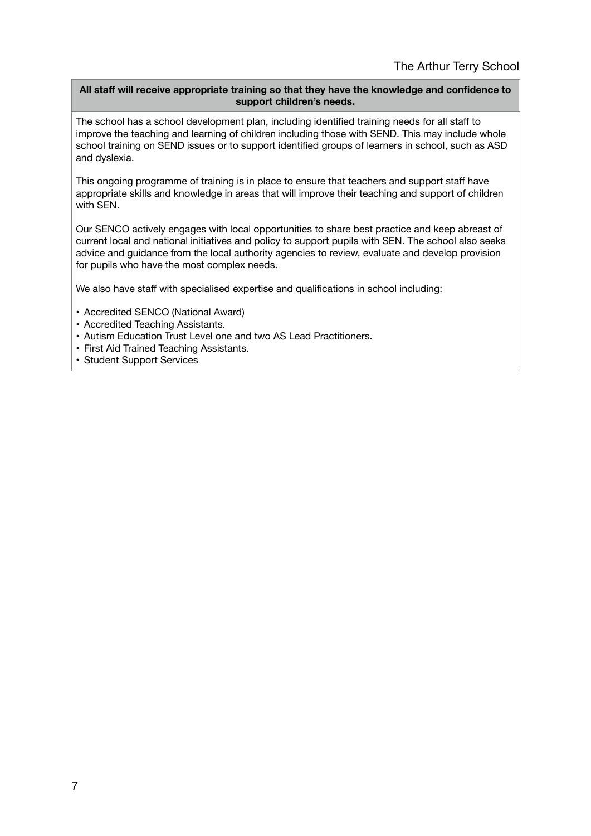## **All staff will receive appropriate training so that they have the knowledge and confidence to support children's needs.**

The school has a school development plan, including identified training needs for all staff to improve the teaching and learning of children including those with SEND. This may include whole school training on SEND issues or to support identified groups of learners in school, such as ASD and dyslexia.

This ongoing programme of training is in place to ensure that teachers and support staff have appropriate skills and knowledge in areas that will improve their teaching and support of children with SEN.

Our SENCO actively engages with local opportunities to share best practice and keep abreast of current local and national initiatives and policy to support pupils with SEN. The school also seeks advice and guidance from the local authority agencies to review, evaluate and develop provision for pupils who have the most complex needs.

We also have staff with specialised expertise and qualifications in school including:

- Accredited SENCO (National Award)
- Accredited Teaching Assistants.
- Autism Education Trust Level one and two AS Lead Practitioners.
- First Aid Trained Teaching Assistants.
- Student Support Services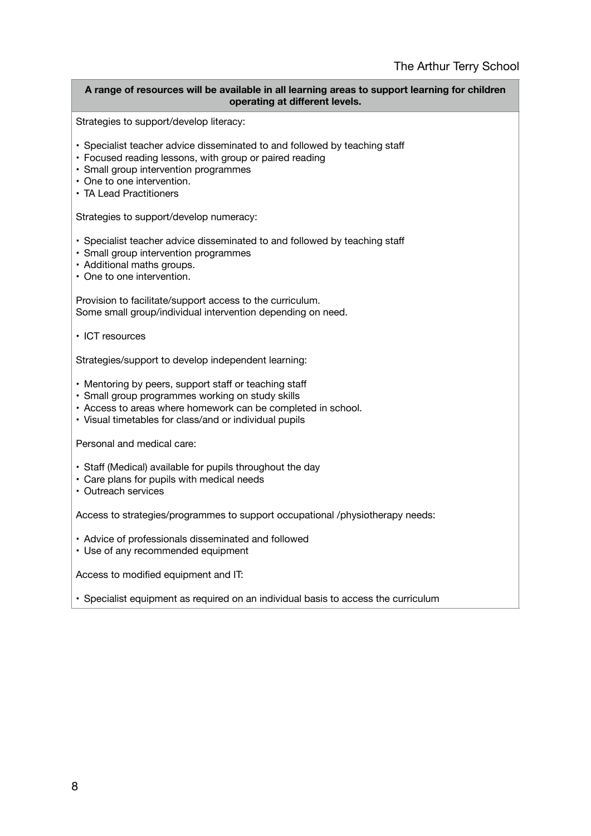#### **A range of resources will be available in all learning areas to support learning for children operating at different levels.**

Strategies to support/develop literacy:

- Specialist teacher advice disseminated to and followed by teaching staff
- Focused reading lessons, with group or paired reading
- Small group intervention programmes
- One to one intervention.
- TA Lead Practitioners

Strategies to support/develop numeracy:

- Specialist teacher advice disseminated to and followed by teaching staff
- Small group intervention programmes
- Additional maths groups.
- One to one intervention.

Provision to facilitate/support access to the curriculum. Some small group/individual intervention depending on need.

• ICT resources

Strategies/support to develop independent learning:

- Mentoring by peers, support staff or teaching staff
- Small group programmes working on study skills
- Access to areas where homework can be completed in school.
- Visual timetables for class/and or individual pupils

Personal and medical care:

- Staff (Medical) available for pupils throughout the day
- Care plans for pupils with medical needs
- Outreach services

Access to strategies/programmes to support occupational /physiotherapy needs:

- Advice of professionals disseminated and followed
- Use of any recommended equipment

Access to modified equipment and IT:

• Specialist equipment as required on an individual basis to access the curriculum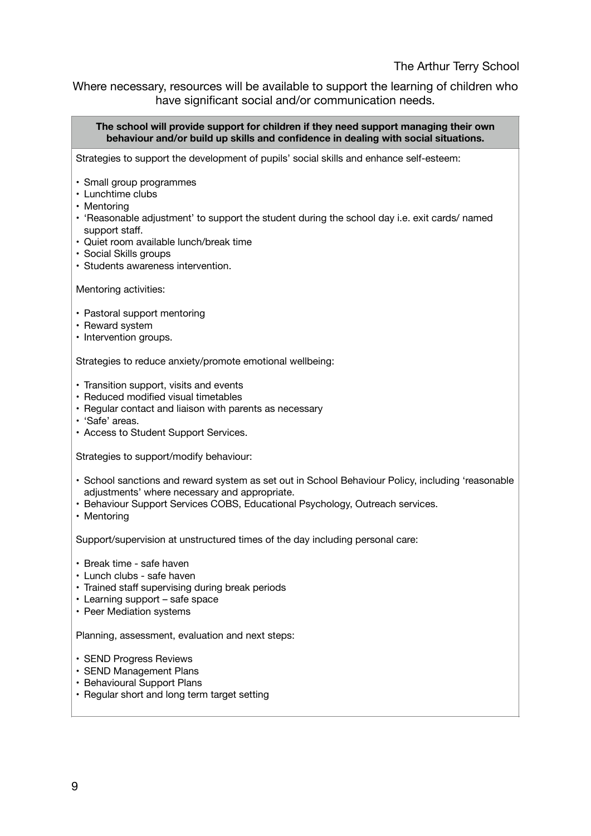# The Arthur Terry School

Where necessary, resources will be available to support the learning of children who have significant social and/or communication needs.

**The school will provide support for children if they need support managing their own behaviour and/or build up skills and confidence in dealing with social situations.** Strategies to support the development of pupils' social skills and enhance self-esteem: • Small group programmes • Lunchtime clubs • Mentoring • 'Reasonable adjustment' to support the student during the school day i.e. exit cards/ named support staff. • Quiet room available lunch/break time • Social Skills groups • Students awareness intervention. Mentoring activities: • Pastoral support mentoring • Reward system • Intervention groups. Strategies to reduce anxiety/promote emotional wellbeing: • Transition support, visits and events • Reduced modified visual timetables • Regular contact and liaison with parents as necessary • 'Safe' areas. • Access to Student Support Services. Strategies to support/modify behaviour: • School sanctions and reward system as set out in School Behaviour Policy, including 'reasonable adjustments' where necessary and appropriate. • Behaviour Support Services COBS, Educational Psychology, Outreach services. • Mentoring Support/supervision at unstructured times of the day including personal care: • Break time - safe haven • Lunch clubs - safe haven • Trained staff supervising during break periods • Learning support – safe space • Peer Mediation systems Planning, assessment, evaluation and next steps: • SEND Progress Reviews • SEND Management Plans • Behavioural Support Plans • Regular short and long term target setting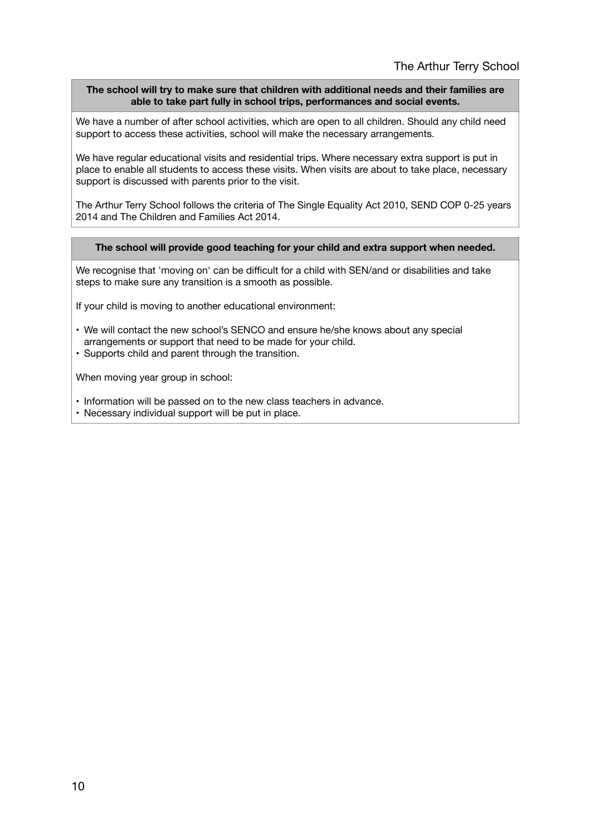### **The school will try to make sure that children with additional needs and their families are able to take part fully in school trips, performances and social events.**

We have a number of after school activities, which are open to all children. Should any child need support to access these activities, school will make the necessary arrangements.

We have regular educational visits and residential trips. Where necessary extra support is put in place to enable all students to access these visits. When visits are about to take place, necessary support is discussed with parents prior to the visit.

The Arthur Terry School follows the criteria of The Single Equality Act 2010, SEND COP 0-25 years 2014 and The Children and Families Act 2014.

#### **The school will provide good teaching for your child and extra support when needed.**

We recognise that 'moving on' can be difficult for a child with SEN/and or disabilities and take steps to make sure any transition is a smooth as possible.

If your child is moving to another educational environment:

- We will contact the new school's SENCO and ensure he/she knows about any special arrangements or support that need to be made for your child.
- Supports child and parent through the transition.

When moving year group in school:

- Information will be passed on to the new class teachers in advance.
- Necessary individual support will be put in place.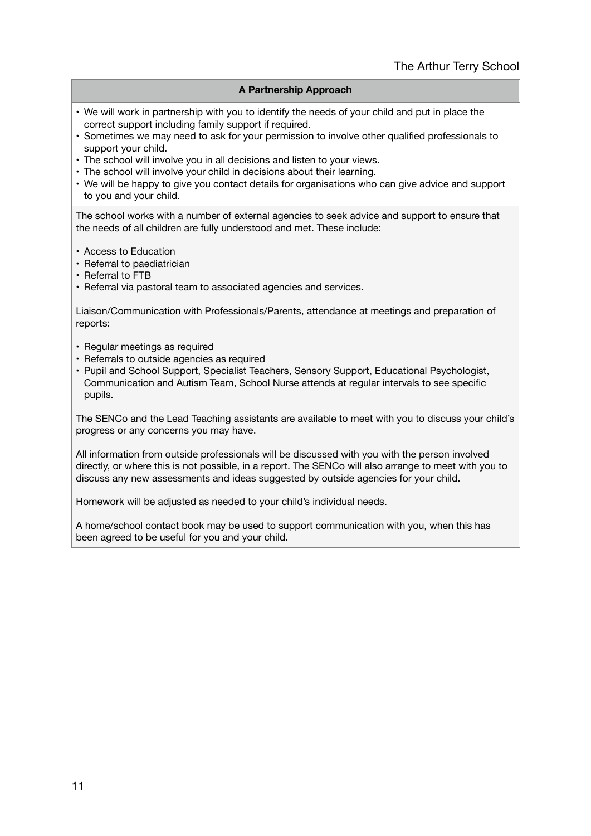## **A Partnership Approach**

- We will work in partnership with you to identify the needs of your child and put in place the correct support including family support if required.
- Sometimes we may need to ask for your permission to involve other qualified professionals to support your child.
- The school will involve you in all decisions and listen to your views.
- The school will involve your child in decisions about their learning.
- We will be happy to give you contact details for organisations who can give advice and support to you and your child.

The school works with a number of external agencies to seek advice and support to ensure that the needs of all children are fully understood and met. These include:

- Access to Education
- Referral to paediatrician
- Referral to FTB
- Referral via pastoral team to associated agencies and services.

Liaison/Communication with Professionals/Parents, attendance at meetings and preparation of reports:

- Regular meetings as required
- Referrals to outside agencies as required
- Pupil and School Support, Specialist Teachers, Sensory Support, Educational Psychologist, Communication and Autism Team, School Nurse attends at regular intervals to see specific pupils.

The SENCo and the Lead Teaching assistants are available to meet with you to discuss your child's progress or any concerns you may have.

All information from outside professionals will be discussed with you with the person involved directly, or where this is not possible, in a report. The SENCo will also arrange to meet with you to discuss any new assessments and ideas suggested by outside agencies for your child.

Homework will be adjusted as needed to your child's individual needs.

A home/school contact book may be used to support communication with you, when this has been agreed to be useful for you and your child.